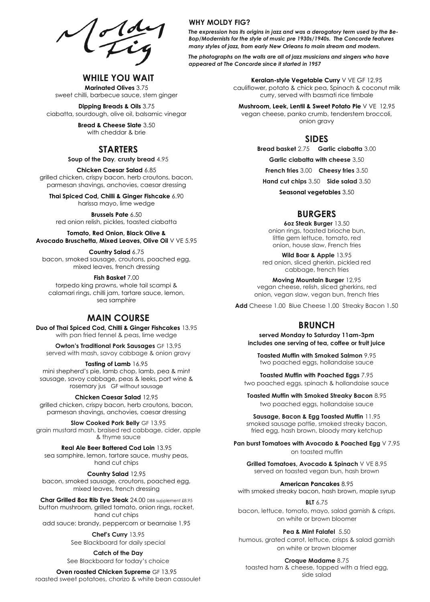$\sqrt{\frac{1000}{100}}$ 

## **WHILE YOU WAIT**

**Marinated Olives** 3.75 sweet chilli, barbecue sauce, stem ginger

**Dipping Breads & Oils** 3.75 ciabatta, sourdough, olive oil, balsamic vinegar

> **Bread & Cheese Slate** 3.50 with cheddar & brie

## **STARTERS**

**Soup of the Day***,* **crusty bread** 4.95

**Chicken Caesar Salad** 6.85 grilled chicken, crispy bacon, herb croutons, bacon, parmesan shavings, anchovies, caesar dressing

**Thai Spiced Cod, Chilli & Ginger Fishcake** 6.90 harissa mayo, lime wedge

**Brussels Pate** 6.50 red onion relish, pickles, toasted ciabatta

**Tomato, Red Onion, Black Olive & Avocado Bruschetta, Mixed Leaves, Olive Oil** V VE 5.95

**Country Salad** 6.75 bacon, smoked sausage, croutons, poached egg, mixed leaves, french dressing

**Fish Basket** 7.00 torpedo king prawns, whole tail scampi & calamari rings, chilli jam, tartare sauce, lemon, sea samphire

## **MAIN COURSE**

**Duo of Thai Spiced Cod, Chilli & Ginger Fishcakes** 13.95 with pan fried fennel & peas, lime wedge

**Owton's Traditional Pork Sausages** GF 13.95 served with mash, savoy cabbage & onion gravy

**Tasting of Lamb** 16.95

mini shepherd's pie, lamb chop, lamb, pea & mint sausage, savoy cabbage, peas & leeks, port wine & rosemary jus GF without sausage

**Chicken Caesar Salad** 12.95

grilled chicken, crispy bacon, herb croutons, bacon, parmesan shavings, anchovies, caesar dressing

**Slow Cooked Pork Belly** GF 13.95 grain mustard mash, braised red cabbage, cider, apple & thyme sauce

**Real Ale Beer Battered Cod Loin** 13.95 sea samphire, lemon, tartare sauce, mushy peas, hand cut chips

**Country Salad** 12.95

bacon, smoked sausage, croutons, poached egg, mixed leaves, french dressing

**Char Grilled 8oz Rib Eye Steak** 24.00 DBB supplement £8.95 button mushroom, grilled tomato, onion rings, rocket,

hand cut chips

add sauce: brandy, peppercorn or bearnaise 1.95

**Chef's Curry** 13.95 See Blackboard for daily special

**Catch of the Day** See Blackboard for today's choice

**Oven roasted Chicken Supreme** GF 13.95

roasted sweet potatoes, chorizo & white bean cassoulet

#### **WHY MOLDY FIG?**

*The expression has its origins in jazz and was a derogatory term used by the Be-Bop/Modernists for the style of music pre 1930s/1940s. The Concorde features many styles of jazz, from early New Orleans to main stream and modern.*

*The photographs on the walls are all of jazz musicians and singers who have appeared at The Concorde since it started in 1957*

> **Keralan-style Vegetable Curry** V VE GF 12.95 cauliflower, potato & chick pea, Spinach & coconut milk curry, served with basmati rice timbale

**Mushroom, Leek, Lentil & Sweet Potato Pie** V VE 12.95 vegan cheese, panko crumb, tenderstem broccoli, onion gravy

## **SIDES**

**Bread basket** 2.75 **Garlic ciabatta** 3.00

**Garlic ciabatta with cheese** 3.50

**French fries** 3.00 **Cheesy fries** 3.50

**Hand cut chips** 3.50 **Side salad** 3.50

**Seasonal vegetables** 3.50

## **BURGERS**

**6oz Steak Burger** 13.50 onion rings, toasted brioche bun, little gem lettuce, tomato, red onion, house slaw, French fries

**Wild Boar & Apple** 13.95 red onion, sliced gherkin, pickled red cabbage, french fries

**Moving Mountain Burger** 12.95 vegan cheese, relish, sliced gherkins, red onion, vegan slaw, vegan bun, french fries

**Add** Cheese 1.00 Blue Cheese 1.00 Streaky Bacon 1.50

# **BRUNCH**

**served Monday to Saturday 11am-3pm includes one serving of tea, coffee or fruit juice**

**Toasted Muffin with Smoked Salmon** 9.95 two poached eggs, hollandaise sauce

**Toasted Muffin with Poached Eggs** 7.95 two poached eggs, spinach & hollandaise sauce

**Toasted Muffin with Smoked Streaky Bacon** 8.95 two poached eggs, hollandaise sauce

**Sausage, Bacon & Egg Toasted Muffin** 11.95 smoked sausage pattie, smoked streaky bacon, fried egg, hash brown, bloody mary ketchup

**Pan burst Tomatoes with Avocado & Poached Egg** V 7.95 on toasted muffin

**Grilled Tomatoes, Avocado & Spinach** V VE 8.95 served on toasted vegan bun, hash brown

**American Pancakes** 8.95

with smoked streaky bacon, hash brown, maple syrup

**BLT** 6.75 bacon, lettuce, tomato, mayo, salad garnish & crisps, on white or brown bloomer

**Pea & Mint Falafel** 5.50

humous, grated carrot, lettuce, crisps & salad garnish on white or brown bloomer

**Croque Madame** 8.75

toasted ham & cheese, topped with a fried egg, side salad